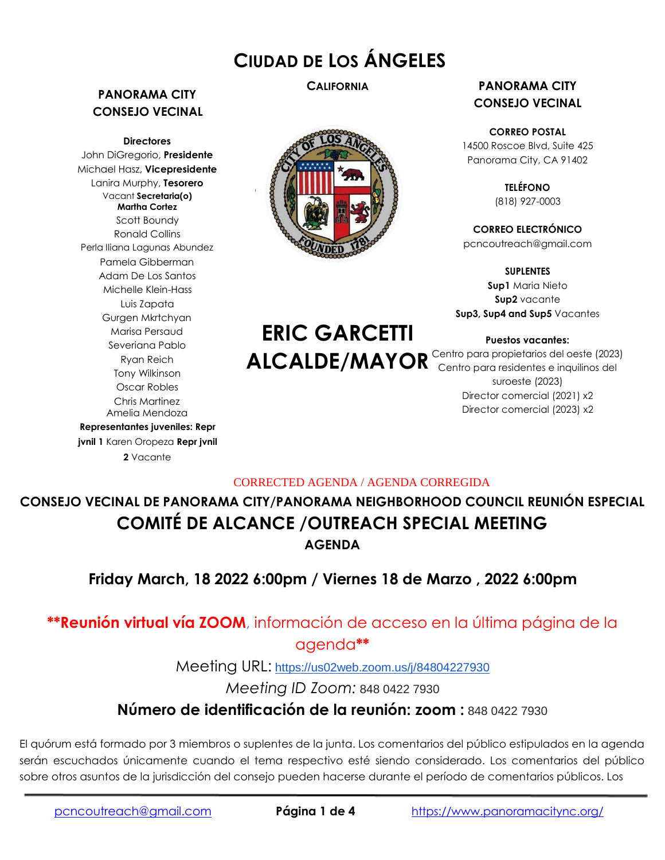# **CIUDAD DE LOS ÁNGELES**

# **PANORAMA CITY CONSEJO VECINAL**

**Directores**

John DiGregorio, **Presidente** Michael Hasz, **Vicepresidente** Lanira Murphy, **Tesorero** Vacant **Secretaria(o) Martha Cortez** Scott Boundy Ronald Collins Perla Iliana Lagunas Abundez Pamela Gibberman Adam De Los Santos Michelle Klein-Hass Luis Zapata Gurgen Mkrtchyan Marisa Persaud Severiana Pablo Ryan Reich Tony Wilkinson Oscar Robles Chris Martinez Amelia Mendoza **Representantes juveniles: Repr jvnil 1** Karen Oropeza **Repr jvnil**

**2** Vacante



**ERIC GARCETTI**

## **CALIFORNIA PANORAMA CITY CONSEJO VECINAL**

**CORREO POSTAL** 14500 Roscoe Blvd, Suite 425 Panorama City, CA 91402

> **TELÉFONO** (818) 927-0003

**CORREO ELECTRÓNICO** pcncoutreach@gmail.com

**SUPLENTES Sup1** Maria Nieto **Sup2** vacante **Sup3, Sup4 and Sup5** Vacantes

**Puestos vacantes:**

ALCALDE/MAYOR<sup>Centro para propietarios del oeste (2023)</sup><br>Centro para residentes e inquilinos del suroeste (2023) Director comercial (2021) x2 Director comercial (2023) x2

# CORRECTED AGENDA / AGENDA CORREGIDA

**CONSEJO VECINAL DE PANORAMA CITY/PANORAMA NEIGHBORHOOD COUNCIL REUNIÓN ESPECIAL COMITÉ DE ALCANCE /OUTREACH SPECIAL MEETING AGENDA**

**Friday March, 18 2022 6:00pm / Viernes 18 de Marzo , 2022 6:00pm**

# **\*\*Reunión virtual vía ZOOM**, información de acceso en la última página de la agenda**\*\***

Meeting URL: <https://us02web.zoom.us/j/84804227930>

*Meeting ID Zoom:* 848 0422 7930

# **Número de identificación de la reunión: zoom :** 848 0422 7930

El quórum está formado por 3 miembros o suplentes de la junta. Los comentarios del público estipulados en la agenda serán escuchados únicamente cuando el tema respectivo esté siendo considerado. Los comentarios del público sobre otros asuntos de la jurisdicción del consejo pueden hacerse durante el período de comentarios públicos. Los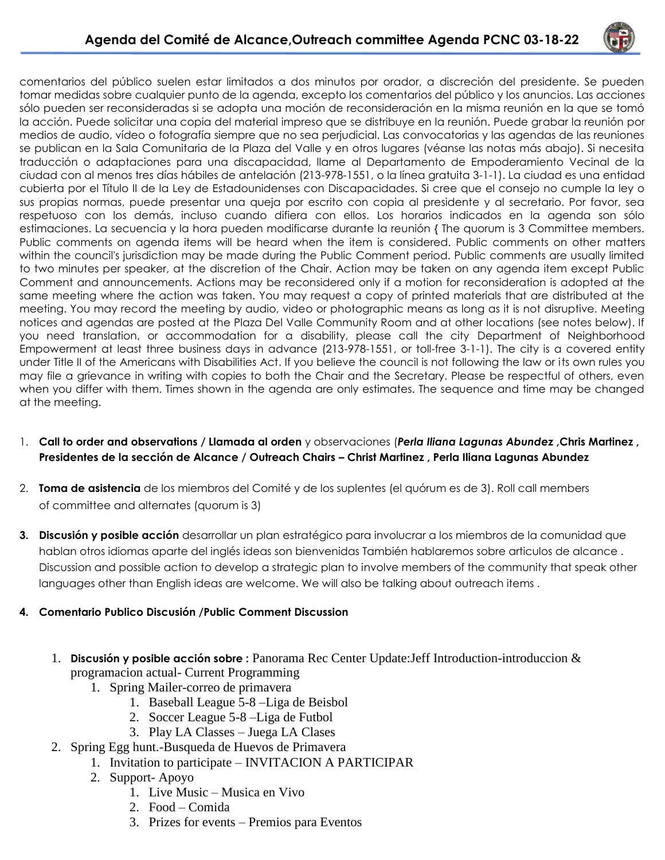

comentarios del público suelen estar limitados a dos minutos por orador, a discreción del presidente. Se pueden tomar medidas sobre cualquier punto de la agenda, excepto los comentarios del público y los anuncios. Las acciones sólo pueden ser reconsideradas si se adopta una moción de reconsideración en la misma reunión en la que se tomó la acción. Puede solicitar una copia del material impreso que se distribuye en la reunión. Puede grabar la reunión por medios de audio, vídeo o fotografía siempre que no sea perjudicial. Las convocatorias y las agendas de las reuniones se publican en la Sala Comunitaria de la Plaza del Valle y en otros lugares (véanse las notas más abajo). Si necesita traducción o adaptaciones para una discapacidad, llame al Departamento de Empoderamiento Vecinal de la ciudad con al menos tres días hábiles de antelación (213-978-1551, o la línea gratuita 3-1-1). La ciudad es una entidad cubierta por el Título II de la Ley de Estadounidenses con Discapacidades. Si cree que el consejo no cumple la ley o sus propias normas, puede presentar una queja por escrito con copia al presidente y al secretario. Por favor, sea respetuoso con los demás, incluso cuando difiera con ellos. Los horarios indicados en la agenda son sólo estimaciones. La secuencia y la hora pueden modificarse durante la reunión { The quorum is 3 Committee members. Public comments on agenda items will be heard when the item is considered. Public comments on other matters within the council's jurisdiction may be made during the Public Comment period. Public comments are usually limited to two minutes per speaker, at the discretion of the Chair. Action may be taken on any agenda item except Public Comment and announcements. Actions may be reconsidered only if a motion for reconsideration is adopted at the same meeting where the action was taken. You may request a copy of printed materials that are distributed at the meeting. You may record the meeting by audio, video or photographic means as long as it is not disruptive. Meeting notices and agendas are posted at the Plaza Del Valle Community Room and at other locations (see notes below). If you need translation, or accommodation for a disability, please call the city Department of Neighborhood Empowerment at least three business days in advance (213-978-1551, or toll-free 3-1-1). The city is a covered entity under Title II of the Americans with Disabilities Act. If you believe the council is not following the law or its own rules you may file a grievance in writing with copies to both the Chair and the Secretary. Please be respectful of others, even when you differ with them. Times shown in the agenda are only estimates. The sequence and time may be changed at the meeting.

- 1. **Call to order and observations / Llamada al orden** y observaciones (*Perla Iliana Lagunas Abundez* **,Chris Martinez , Presidentes de la sección de Alcance / Outreach Chairs – Christ Martinez , Perla Iliana Lagunas Abundez**
- 2. **Toma de asistencia** de los miembros del Comité y de los suplentes (el quórum es de 3). Roll call members of committee and alternates (quorum is 3)
- **3. Discusión y posible acción** desarrollar un plan estratégico para involucrar a los miembros de la comunidad que hablan otros idiomas aparte del inglés ideas son bienvenidas También hablaremos sobre articulos de alcance . Discussion and possible action to develop a strategic plan to involve members of the community that speak other languages other than English ideas are welcome. We will also be talking about outreach items .

## **4. Comentario Publico Discusión /Public Comment Discussion**

- 1. **Discusión y posible acción sobre :** Panorama Rec Center Update:Jeff Introduction-introduccion & programacion actual- Current Programming
	- 1. Spring Mailer-correo de primavera
		- 1. Baseball League 5-8 –Liga de Beisbol
		- 2. Soccer League 5-8 –Liga de Futbol
		- 3. Play LA Classes Juega LA Clases
- 2. Spring Egg hunt.-Busqueda de Huevos de Primavera
	- 1. Invitation to participate INVITACION A PARTICIPAR
	- 2. Support- Apoyo
		- 1. Live Music Musica en Vivo
		- 2. Food Comida
		- 3. Prizes for events Premios para Eventos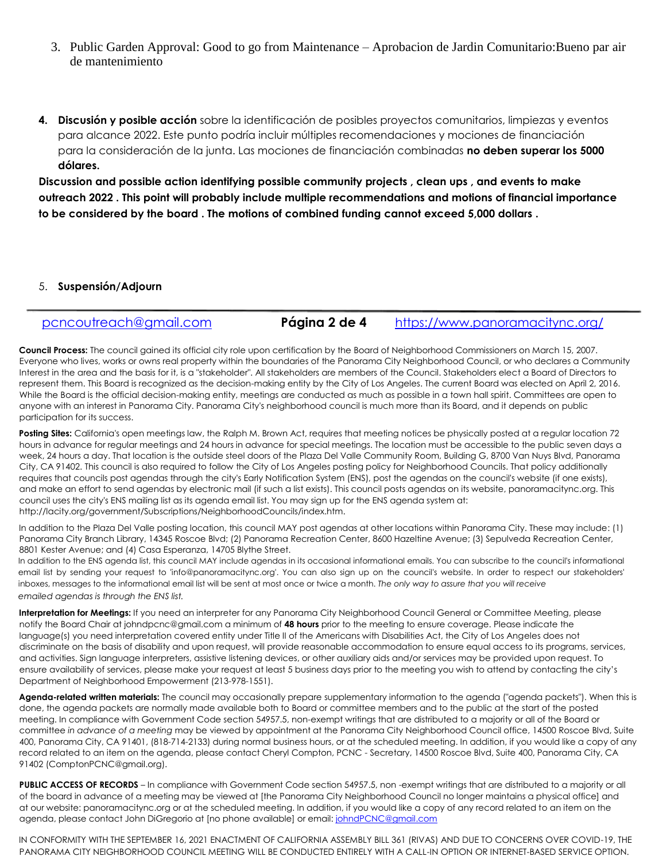- 3. Public Garden Approval: Good to go from Maintenance Aprobacion de Jardin Comunitario:Bueno par air de mantenimiento
- **4. Discusión y posible acción** sobre la identificación de posibles proyectos comunitarios, limpiezas y eventos para alcance 2022. Este punto podría incluir múltiples recomendaciones y mociones de financiación para la consideración de la junta. Las mociones de financiación combinadas **no deben superar los 5000 dólares.**

**Discussion and possible action identifying possible community projects , clean ups , and events to make outreach 2022 . This point will probably include multiple recommendations and motions of financial importance to be considered by the board . The motions of combined funding cannot exceed 5,000 dollars .**

### 5. **Suspensión/Adjourn**

| pcncoutreach@gmail.com | Página 2 de 4 | https://www.panoramacitync.org/ |  |
|------------------------|---------------|---------------------------------|--|
|                        |               |                                 |  |

**Council Process:** The council gained its official city role upon certification by the Board of Neighborhood Commissioners on March 15, 2007. Everyone who lives, works or owns real property within the boundaries of the Panorama City Neighborhood Council, or who declares a Community Interest in the area and the basis for it, is a "stakeholder". All stakeholders are members of the Council. Stakeholders elect a Board of Directors to represent them. This Board is recognized as the decision-making entity by the City of Los Angeles. The current Board was elected on April 2, 2016. While the Board is the official decision-making entity, meetings are conducted as much as possible in a town hall spirit. Committees are open to anyone with an interest in Panorama City. Panorama City's neighborhood council is much more than its Board, and it depends on public participation for its success.

Posting Sites: California's open meetings law, the Ralph M. Brown Act, requires that meeting notices be physically posted at a regular location 72 hours in advance for regular meetings and 24 hours in advance for special meetings. The location must be accessible to the public seven days a week, 24 hours a day. That location is the outside steel doors of the Plaza Del Valle Community Room, Building G, 8700 Van Nuys Blvd, Panorama City, CA 91402. This council is also required to follow the City of Los Angeles posting policy for Neighborhood Councils. That policy additionally requires that councils post agendas through the city's Early Notification System (ENS), post the agendas on the council's website (if one exists), and make an effort to send agendas by electronic mail (if such a list exists). This council posts agendas on its website, panoramacitync.org. This council uses the city's ENS mailing list as its agenda email list. You may sign up for the ENS agenda system at: http://lacity.org/government/Subscriptions/NeighborhoodCouncils/index.htm.

In addition to the Plaza Del Valle posting location, this council MAY post agendas at other locations within Panorama City. These may include: (1) Panorama City Branch Library, 14345 Roscoe Blvd; (2) Panorama Recreation Center, 8600 Hazeltine Avenue; (3) Sepulveda Recreation Center, 8801 Kester Avenue; and (4) Casa Esperanza, 14705 Blythe Street.

In addition to the ENS agenda list, this council MAY include agendas in its occasional informational emails. You can subscribe to the council's informational email list by sending your request to 'info@panoramacitync.org'. You can also sign up on the council's website. In order to respect our stakeholders' inboxes, messages to the informational email list will be sent at most once or twice a month. *The only way to assure that you will receive emailed agendas is through the ENS list.*

**Interpretation for Meetings:** If you need an interpreter for any Panorama City Neighborhood Council General or Committee Meeting, please notify the Board Chair at johndpcnc@gmail.com a minimum of **48 hours** prior to the meeting to ensure coverage. Please indicate the language(s) you need interpretation covered entity under Title II of the Americans with Disabilities Act, the City of Los Angeles does not discriminate on the basis of disability and upon request, will provide reasonable accommodation to ensure equal access to its programs, services, and activities. Sign language interpreters, assistive listening devices, or other auxiliary aids and/or services may be provided upon request. To ensure availability of services, please make your request at least 5 business days prior to the meeting you wish to attend by contacting the city's Department of Neighborhood Empowerment (213-978-1551).

**Agenda-related written materials:** The council may occasionally prepare supplementary information to the agenda ("agenda packets"). When this is done, the agenda packets are normally made available both to Board or committee members and to the public at the start of the posted meeting. In compliance with Government Code section 54957.5, non-exempt writings that are distributed to a majority or all of the Board or committee *in advance of a meeting* may be viewed by appointment at the Panorama City Neighborhood Council office, 14500 Roscoe Blvd, Suite 400, Panorama City, CA 91401, (818-714-2133) during normal business hours, or at the scheduled meeting. In addition, if you would like a copy of any record related to an item on the agenda, please contact Cheryl Compton, PCNC - Secretary, 14500 Roscoe Blvd, Suite 400, Panorama City, CA 91402 (ComptonPCNC@gmail.org).

**PUBLIC ACCESS OF RECORDS** – In compliance with Government Code section 54957.5, non -exempt writings that are distributed to a majority or all of the board in advance of a meeting may be viewed at [the Panorama City Neighborhood Council no longer maintains a physical office] and at our website: panoramacitync.org or at the scheduled meeting. In addition, if you would like a copy of any record related to an item on the agenda, please contact John DiGregorio at [no phone available] or email: johndPCNC@gmail.com

IN CONFORMITY WITH THE SEPTEMBER 16, 2021 ENACTMENT OF CALIFORNIA ASSEMBLY BILL 361 (RIVAS) AND DUE TO CONCERNS OVER COVID-19, THE PANORAMA CITY NEIGHBORHOOD COUNCIL MEETING WILL BE CONDUCTED ENTIRELY WITH A CALL-IN OPTION OR INTERNET-BASED SERVICE OPTION.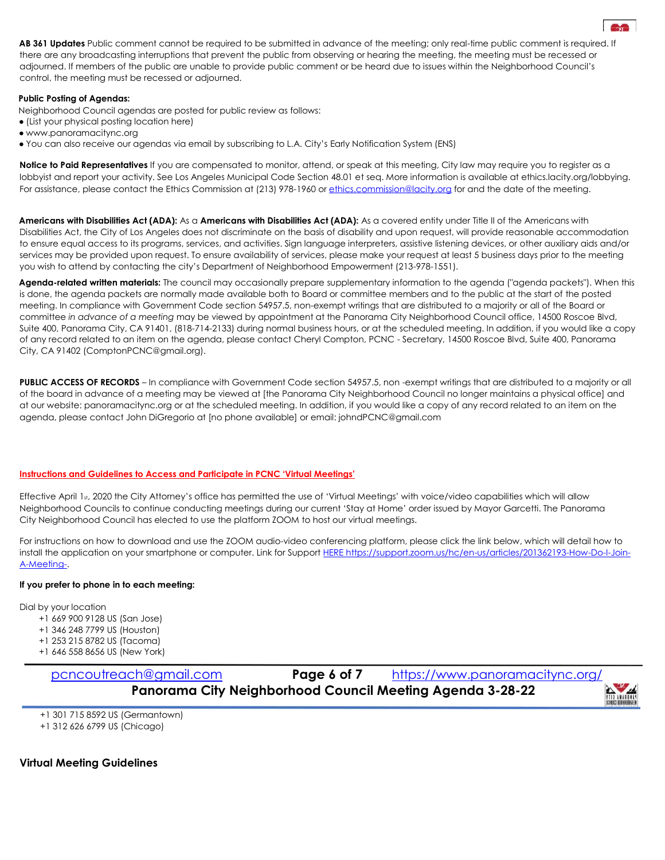**AB 361 Updates** Public comment cannot be required to be submitted in advance of the meeting; only real-time public comment is required. If there are any broadcasting interruptions that prevent the public from observing or hearing the meeting, the meeting must be recessed or adjourned. If members of the public are unable to provide public comment or be heard due to issues within the Neighborhood Council's control, the meeting must be recessed or adjourned.

#### **Public Posting of Agendas:**

Neighborhood Council agendas are posted for public review as follows:

- (List your physical posting location here)
- www.panoramacitync.org
- You can also receive our agendas via email by subscribing to L.A. City's Early Notification System (ENS)

**Notice to Paid Representatives** If you are compensated to monitor, attend, or speak at this meeting, City law may require you to register as a lobbyist and report your activity. See Los Angeles Municipal Code Section 48.01 et seq. More information is available at ethics.lacity.org/lobbying. For assistance, please contact the Ethics Commission at (213) 978-1960 or ethics.commission@lacity.org for and the date of the meeting.

**Americans with Disabilities Act (ADA):** As a **Americans with Disabilities Act (ADA):** As a covered entity under Title II of the Americans with Disabilities Act, the City of Los Angeles does not discriminate on the basis of disability and upon request, will provide reasonable accommodation to ensure equal access to its programs, services, and activities. Sign language interpreters, assistive listening devices, or other auxiliary aids and/or services may be provided upon request. To ensure availability of services, please make your request at least 5 business days prior to the meeting you wish to attend by contacting the city's Department of Neighborhood Empowerment (213-978-1551).

**Agenda-related written materials:** The council may occasionally prepare supplementary information to the agenda ("agenda packets"). When this is done, the agenda packets are normally made available both to Board or committee members and to the public at the start of the posted meeting. In compliance with Government Code section 54957.5, non-exempt writings that are distributed to a majority or all of the Board or committee *in advance of a meeting* may be viewed by appointment at the Panorama City Neighborhood Council office, 14500 Roscoe Blvd, Suite 400, Panorama City, CA 91401, (818-714-2133) during normal business hours, or at the scheduled meeting. In addition, if you would like a copy of any record related to an item on the agenda, please contact Cheryl Compton, PCNC - Secretary, 14500 Roscoe Blvd, Suite 400, Panorama City, CA 91402 (ComptonPCNC@gmail.org).

PUBLIC ACCESS OF RECORDS – In compliance with Government Code section 54957.5, non -exempt writings that are distributed to a majority or all of the board in advance of a meeting may be viewed at [the Panorama City Neighborhood Council no longer maintains a physical office] and at our website: panoramacitync.org or at the scheduled meeting. In addition, if you would like a copy of any record related to an item on the agenda, please contact John DiGregorio at [no phone available] or email: johndPCNC@gmail.com

#### **Instructions and Guidelines to Access and Participate in PCNC 'Virtual Meetings'**

Effective April 1st, 2020 the City Attorney's office has permitted the use of 'Virtual Meetings' with voice/video capabilities which will allow Neighborhood Councils to continue conducting meetings during our current 'Stay at Home' order issued by Mayor Garcetti. The Panorama City Neighborhood Council has elected to use the platform ZOOM to host our virtual meetings.

For instructions on how to download and use the ZOOM audio-video conferencing platform, please click the link below, which will detail how to install the application on your smartphone or computer. Link for Support HERE https://support.zoom.us/hc/en-us/articles/201362193-How-Do-I-Join-A-Meeting-.

#### **If you prefer to phone in to each meeting:**

Dial by your location

- +1 669 900 9128 US (San Jose)
- +1 346 248 7799 US (Houston)
- +1 253 215 8782 US (Tacoma)
- +1 646 558 8656 US (New York)

pcncoutreach@gmail.com **Page 6 of 7** https://www.panoramacitync.org/ **Panorama City Neighborhood Council Meeting Agenda 3-28-22**

+1 301 715 8592 US (Germantown)

+1 312 626 6799 US (Chicago)

### **Virtual Meeting Guidelines**

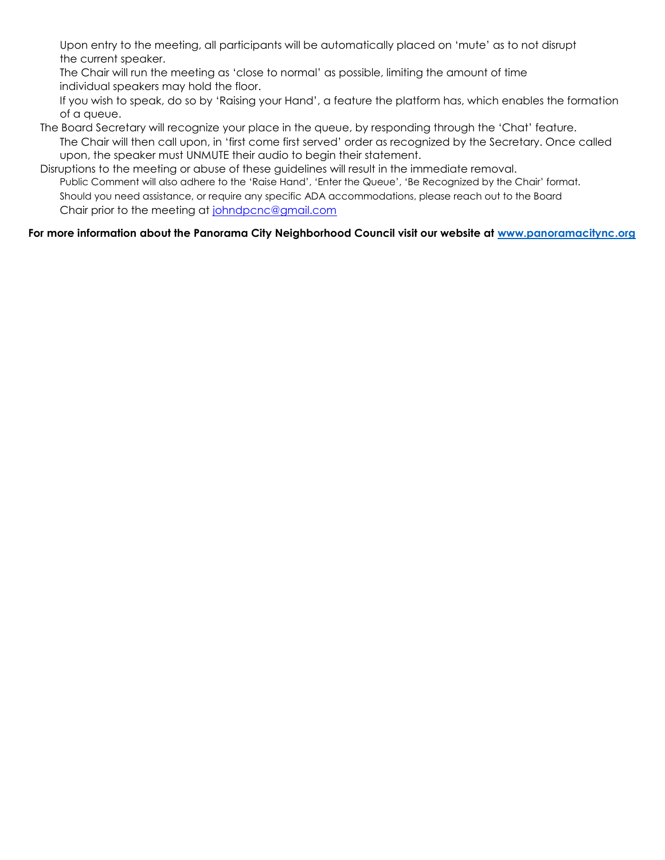Upon entry to the meeting, all participants will be automatically placed on 'mute' as to not disrupt the current speaker.

The Chair will run the meeting as 'close to normal' as possible, limiting the amount of time individual speakers may hold the floor.

If you wish to speak, do so by 'Raising your Hand', a feature the platform has, which enables the formation of a queue.

The Board Secretary will recognize your place in the queue, by responding through the 'Chat' feature. The Chair will then call upon, in 'first come first served' order as recognized by the Secretary. Once called upon, the speaker must UNMUTE their audio to begin their statement.

Disruptions to the meeting or abuse of these guidelines will result in the immediate removal. Public Comment will also adhere to the 'Raise Hand', 'Enter the Queue', 'Be Recognized by the Chair' format. Should you need assistance, or require any specific ADA accommodations, please reach out to the Board Chair prior to the meeting at johndpcnc@gmail.com

## **For more information about the Panorama City Neighborhood Council visit our website at www.panoramacitync.org**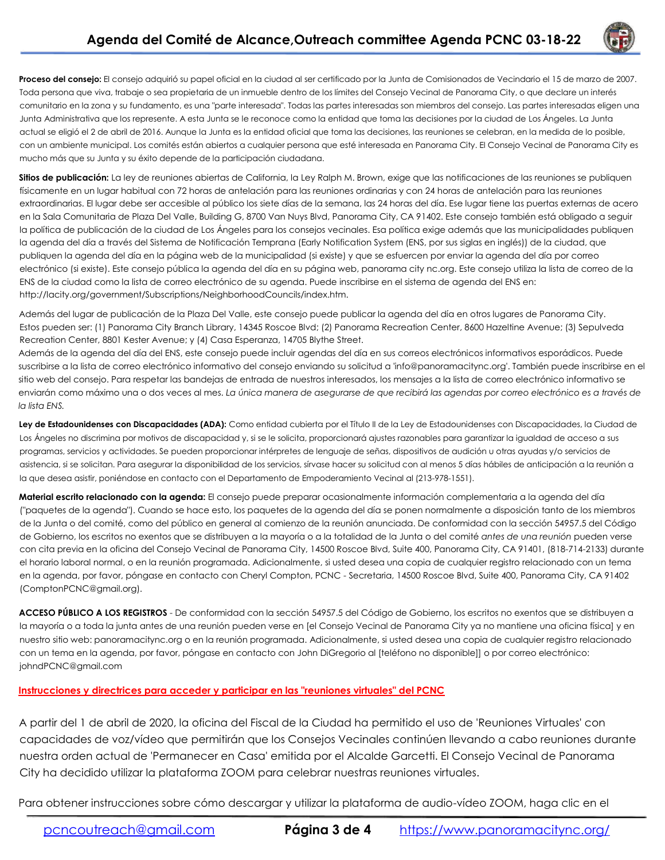

**Proceso del consejo:** El consejo adquirió su papel oficial en la ciudad al ser certificado por la Junta de Comisionados de Vecindario el 15 de marzo de 2007. Toda persona que viva, trabaje o sea propietaria de un inmueble dentro de los límites del Consejo Vecinal de Panorama City, o que declare un interés comunitario en la zona y su fundamento, es una "parte interesada". Todas las partes interesadas son miembros del consejo. Las partes interesadas eligen una Junta Administrativa que los represente. A esta Junta se le reconoce como la entidad que toma las decisiones por la ciudad de Los Ángeles. La Junta actual se eligió el 2 de abril de 2016. Aunque la Junta es la entidad oficial que toma las decisiones, las reuniones se celebran, en la medida de lo posible, con un ambiente municipal. Los comités están abiertos a cualquier persona que esté interesada en Panorama City. El Consejo Vecinal de Panorama City es mucho más que su Junta y su éxito depende de la participación ciudadana.

Sitios de publicación: La ley de reuniones abiertas de California, la Ley Ralph M. Brown, exige que las notificaciones de las reuniones se publiquen físicamente en un lugar habitual con 72 horas de antelación para las reuniones ordinarias y con 24 horas de antelación para las reuniones extraordinarias. El lugar debe ser accesible al público los siete días de la semana, las 24 horas del día. Ese lugar tiene las puertas externas de acero en la Sala Comunitaria de Plaza Del Valle, Building G, 8700 Van Nuys Blvd, Panorama City, CA 91402. Este consejo también está obligado a seguir la política de publicación de la ciudad de Los Ángeles para los consejos vecinales. Esa política exige además que las municipalidades publiquen la agenda del día a través del Sistema de Notificación Temprana (Early Notification System (ENS, por sus siglas en inglés)) de la ciudad, que publiquen la agenda del día en la página web de la municipalidad (si existe) y que se esfuercen por enviar la agenda del día por correo electrónico (si existe). Este consejo pública la agenda del día en su página web, panorama city nc.org. Este consejo utiliza la lista de correo de la ENS de la ciudad como la lista de correo electrónico de su agenda. Puede inscribirse en el sistema de agenda del ENS en: http://lacity.org/government/Subscriptions/NeighborhoodCouncils/index.htm.

Además del lugar de publicación de la Plaza Del Valle, este consejo puede publicar la agenda del día en otros lugares de Panorama City. Estos pueden ser: (1) Panorama City Branch Library, 14345 Roscoe Blvd; (2) Panorama Recreation Center, 8600 Hazeltine Avenue; (3) Sepulveda Recreation Center, 8801 Kester Avenue; y (4) Casa Esperanza, 14705 Blythe Street.

Además de la agenda del día del ENS, este consejo puede incluir agendas del día en sus correos electrónicos informativos esporádicos. Puede suscribirse a la lista de correo electrónico informativo del consejo enviando su solicitud a 'info@panoramacitync.org'. También puede inscribirse en el sitio web del consejo. Para respetar las bandejas de entrada de nuestros interesados, los mensajes a la lista de correo electrónico informativo se enviarán como máximo una o dos veces al mes. *La única manera de asegurarse de que recibirá las agendas por correo electrónico es a través de la lista ENS.*

Ley de Estadounidenses con Discapacidades (ADA): Como entidad cubierta por el Título II de la Ley de Estadounidenses con Discapacidades, la Ciudad de Los Ángeles no discrimina por motivos de discapacidad y, si se le solicita, proporcionará ajustes razonables para garantizar la igualdad de acceso a sus programas, servicios y actividades. Se pueden proporcionar intérpretes de lenguaje de señas, dispositivos de audición u otras ayudas y/o servicios de asistencia, si se solicitan. Para asegurar la disponibilidad de los servicios, sírvase hacer su solicitud con al menos 5 días hábiles de anticipación a la reunión a la que desea asistir, poniéndose en contacto con el Departamento de Empoderamiento Vecinal al (213-978-1551).

**Material escrito relacionado con la agenda:** El consejo puede preparar ocasionalmente información complementaria a la agenda del día ("paquetes de la agenda"). Cuando se hace esto, los paquetes de la agenda del día se ponen normalmente a disposición tanto de los miembros de la Junta o del comité, como del público en general al comienzo de la reunión anunciada. De conformidad con la sección 54957.5 del Código de Gobierno, los escritos no exentos que se distribuyen a la mayoría o a la totalidad de la Junta o del comité *antes de una reunión* pueden verse con cita previa en la oficina del Consejo Vecinal de Panorama City, 14500 Roscoe Blvd, Suite 400, Panorama City, CA 91401, (818-714-2133) durante el horario laboral normal, o en la reunión programada. Adicionalmente, si usted desea una copia de cualquier registro relacionado con un tema en la agenda, por favor, póngase en contacto con Cheryl Compton, PCNC - Secretaria, 14500 Roscoe Blvd, Suite 400, Panorama City, CA 91402 (ComptonPCNC@gmail.org).

**ACCESO PÚBLICO A LOS REGISTROS** - De conformidad con la sección 54957.5 del Código de Gobierno, los escritos no exentos que se distribuyen a la mayoría o a toda la junta antes de una reunión pueden verse en [el Consejo Vecinal de Panorama City ya no mantiene una oficina física] y en nuestro sitio web: panoramacitync.org o en la reunión programada. Adicionalmente, si usted desea una copia de cualquier registro relacionado con un tema en la agenda, por favor, póngase en contacto con John DiGregorio al [teléfono no disponible]] o por correo electrónico: johndPCNC@gmail.com

### **Instrucciones y directrices para acceder y participar en las "reuniones virtuales" del PCNC**

A partir del 1 de abril de 2020, la oficina del Fiscal de la Ciudad ha permitido el uso de 'Reuniones Virtuales' con capacidades de voz/vídeo que permitirán que los Consejos Vecinales continúen llevando a cabo reuniones durante nuestra orden actual de 'Permanecer en Casa' emitida por el Alcalde Garcetti. El Consejo Vecinal de Panorama City ha decidido utilizar la plataforma ZOOM para celebrar nuestras reuniones virtuales.

Para obtener instrucciones sobre cómo descargar y utilizar la plataforma de audio-vídeo ZOOM, haga clic en el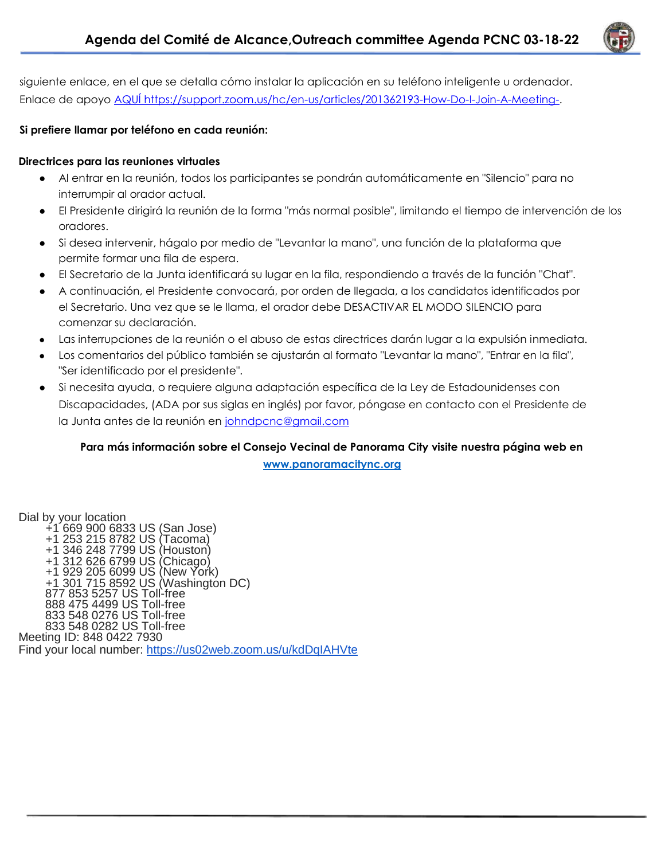

siguiente enlace, en el que se detalla cómo instalar la aplicación en su teléfono inteligente u ordenador. Enlace de apoyo AQUÍ https://support.zoom.us/hc/en-us/articles/201362193-How-Do-I-Join-A-Meeting-.

## **Si prefiere llamar por teléfono en cada reunión:**

## **Directrices para las reuniones virtuales**

- Al entrar en la reunión, todos los participantes se pondrán automáticamente en "Silencio" para no interrumpir al orador actual.
- El Presidente dirigirá la reunión de la forma "más normal posible", limitando el tiempo de intervención de los oradores.
- Si desea intervenir, hágalo por medio de "Levantar la mano", una función de la plataforma que permite formar una fila de espera.
- El Secretario de la Junta identificará su lugar en la fila, respondiendo a través de la función "Chat".
- A continuación, el Presidente convocará, por orden de llegada, a los candidatos identificados por el Secretario. Una vez que se le llama, el orador debe DESACTIVAR EL MODO SILENCIO para comenzar su declaración.
- Las interrupciones de la reunión o el abuso de estas directrices darán lugar a la expulsión inmediata.
- Los comentarios del público también se ajustarán al formato "Levantar la mano", "Entrar en la fila", "Ser identificado por el presidente".
- Si necesita ayuda, o requiere alguna adaptación específica de la Ley de Estadounidenses con Discapacidades, (ADA por sus siglas en inglés) por favor, póngase en contacto con el Presidente de la Junta antes de la reunión en [johndpcnc@gmail.com](mailto:johndpcnc@gmail.com)

## **Para más información sobre el Consejo Vecinal de Panorama City visite nuestra página web en [www.panoramacitync.org](http://www.panoramacitync.org/)**

Dial by your location +1 669 900 6833 US (San Jose) +1 253 215 8782 US (Tacoma) +1 346 248 7799 US (Houston) +1 312 626 6799 US (Chicago) +1 929 205 6099 US (New York) +1 301 715 8592 US (Washington DC) 877 853 5257 US Toll-free 888 475 4499 US Toll-free 833 548 0276 US Toll-free 833 548 0282 US Toll-free Meeting ID: 848 0422 7930 Find your local number: <https://us02web.zoom.us/u/kdDqIAHVte>